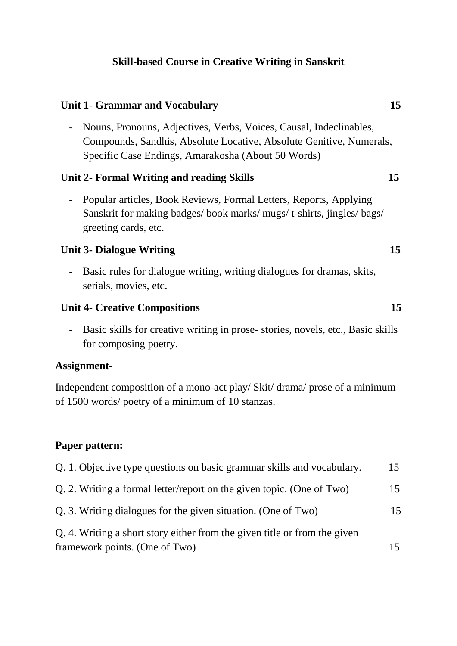# **Skill-based Course in Creative Writing in Sanskrit**

#### *Unit 1- Grammar and Vocabulary* **15**

- Nouns, Pronouns, Adjectives, Verbs, Voices, Causal, Indeclinables, Compounds, Sandhis, Absolute Locative, Absolute Genitive, Numerals, Specific Case Endings, Amarakosha (About 50 Words)

## **Unit 2- Formal Writing and reading Skills 15**

- Popular articles, Book Reviews, Formal Letters, Reports, Applying Sanskrit for making badges/ book marks/ mugs/ t-shirts, jingles/ bags/ greeting cards, etc.

## **Unit 3- Dialogue Writing 15**

- Basic rules for dialogue writing, writing dialogues for dramas, skits, serials, movies, etc.

## *Unit 4-* **Creative Compositions 15**

- Basic skills for creative writing in prose- stories, novels, etc., Basic skills for composing poetry.

#### **Assignment-**

Independent composition of a mono-act play/ Skit/ drama/ prose of a minimum of 1500 words/ poetry of a minimum of 10 stanzas.

#### **Paper pattern:**

| Q. 1. Objective type questions on basic grammar skills and vocabulary.    | 15 |
|---------------------------------------------------------------------------|----|
| Q. 2. Writing a formal letter/report on the given topic. (One of Two)     | 15 |
| Q. 3. Writing dialogues for the given situation. (One of Two)             | 15 |
| Q. 4. Writing a short story either from the given title or from the given |    |
| framework points. (One of Two)                                            | 15 |